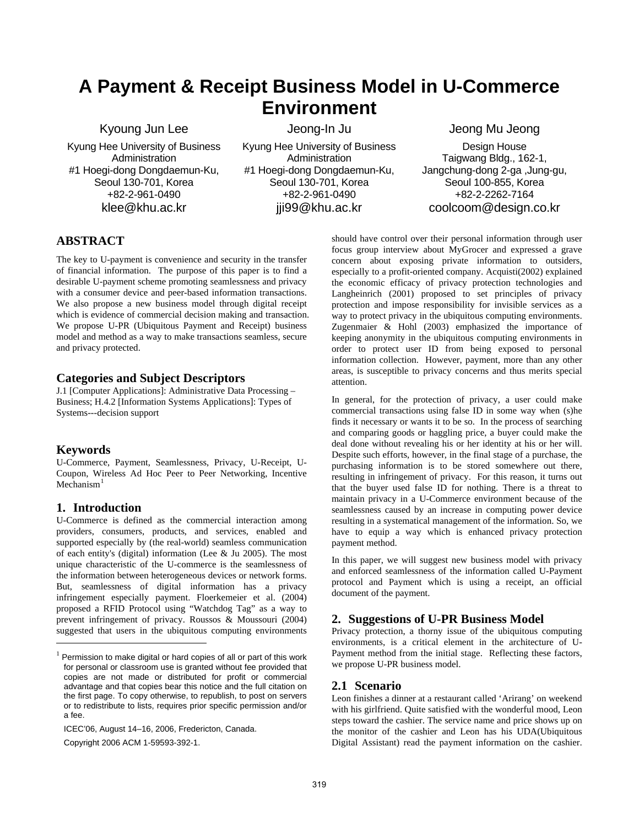# **A Payment & Receipt Business Model in U-Commerce Environment**

Kyoung Jun Lee

Kyung Hee University of Business Administration #1 Hoegi-dong Dongdaemun-Ku, Seoul 130-701, Korea +82-2-961-0490 klee@khu.ac.kr

Jeong-In Ju

Kyung Hee University of Business Administration #1 Hoegi-dong Dongdaemun-Ku, Seoul 130-701, Korea +82-2-961-0490 jji99@khu.ac.kr

Jeong Mu Jeong Design House Taigwang Bldg., 162-1, Jangchung-dong 2-ga ,Jung-gu, Seoul 100-855, Korea +82-2-2262-7164 coolcoom@design.co.kr

# **ABSTRACT**

The key to U-payment is convenience and security in the transfer of financial information. The purpose of this paper is to find a desirable U-payment scheme promoting seamlessness and privacy with a consumer device and peer-based information transactions. We also propose a new business model through digital receipt which is evidence of commercial decision making and transaction. We propose U-PR (Ubiquitous Payment and Receipt) business model and method as a way to make transactions seamless, secure and privacy protected.

## **Categories and Subject Descriptors**

J.1 [Computer Applications]: Administrative Data Processing – Business; H.4.2 [Information Systems Applications]: Types of Systems---decision support

# **Keywords**

 $\overline{a}$ 

U-Commerce, Payment, Seamlessness, Privacy, U-Receipt, U-Coupon, Wireless Ad Hoc Peer to Peer Networking, Incentive  $Mechanism<sup>1</sup>$ 

# **1. Introduction**

U-Commerce is defined as the commercial interaction among providers, consumers, products, and services, enabled and supported especially by (the real-world) seamless communication of each entity's (digital) information (Lee & Ju 2005). The most unique characteristic of the U-commerce is the seamlessness of the information between heterogeneous devices or network forms. But, seamlessness of digital information has a privacy infringement especially payment. Floerkemeier et al. (2004) proposed a RFID Protocol using "Watchdog Tag" as a way to prevent infringement of privacy. Roussos & Moussouri (2004) suggested that users in the ubiquitous computing environments

ICEC'06, August 14–16, 2006, Fredericton, Canada.

Copyright 2006 ACM 1-59593-392-1.

should have control over their personal information through user focus group interview about MyGrocer and expressed a grave concern about exposing private information to outsiders, especially to a profit-oriented company. Acquisti(2002) explained the economic efficacy of privacy protection technologies and Langheinrich (2001) proposed to set principles of privacy protection and impose responsibility for invisible services as a way to protect privacy in the ubiquitous computing environments. Zugenmaier & Hohl (2003) emphasized the importance of keeping anonymity in the ubiquitous computing environments in order to protect user ID from being exposed to personal information collection. However, payment, more than any other areas, is susceptible to privacy concerns and thus merits special attention.

In general, for the protection of privacy, a user could make commercial transactions using false ID in some way when (s)he finds it necessary or wants it to be so. In the process of searching and comparing goods or haggling price, a buyer could make the deal done without revealing his or her identity at his or her will. Despite such efforts, however, in the final stage of a purchase, the purchasing information is to be stored somewhere out there, resulting in infringement of privacy. For this reason, it turns out that the buyer used false ID for nothing. There is a threat to maintain privacy in a U-Commerce environment because of the seamlessness caused by an increase in computing power device resulting in a systematical management of the information. So, we have to equip a way which is enhanced privacy protection payment method.

In this paper, we will suggest new business model with privacy and enforced seamlessness of the information called U-Payment protocol and Payment which is using a receipt, an official document of the payment.

# **2. Suggestions of U-PR Business Model**

Privacy protection, a thorny issue of the ubiquitous computing environments, is a critical element in the architecture of U-Payment method from the initial stage. Reflecting these factors, we propose U-PR business model.

# **2.1 Scenario**

Leon finishes a dinner at a restaurant called 'Arirang' on weekend with his girlfriend. Quite satisfied with the wonderful mood, Leon steps toward the cashier. The service name and price shows up on the monitor of the cashier and Leon has his UDA(Ubiquitous Digital Assistant) read the payment information on the cashier.

 $1$  Permission to make digital or hard copies of all or part of this work for personal or classroom use is granted without fee provided that copies are not made or distributed for profit or commercial advantage and that copies bear this notice and the full citation on the first page. To copy otherwise, to republish, to post on servers or to redistribute to lists, requires prior specific permission and/or a fee.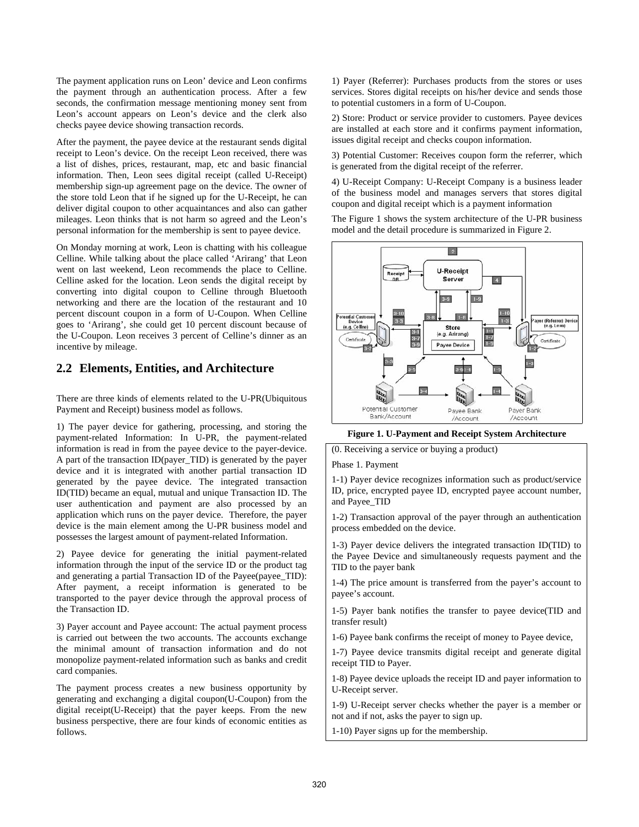The payment application runs on Leon' device and Leon confirms the payment through an authentication process. After a few seconds, the confirmation message mentioning money sent from Leon's account appears on Leon's device and the clerk also checks payee device showing transaction records.

After the payment, the payee device at the restaurant sends digital receipt to Leon's device. On the receipt Leon received, there was a list of dishes, prices, restaurant, map, etc and basic financial information. Then, Leon sees digital receipt (called U-Receipt) membership sign-up agreement page on the device. The owner of the store told Leon that if he signed up for the U-Receipt, he can deliver digital coupon to other acquaintances and also can gather mileages. Leon thinks that is not harm so agreed and the Leon's personal information for the membership is sent to payee device.

On Monday morning at work, Leon is chatting with his colleague Celline. While talking about the place called 'Arirang' that Leon went on last weekend, Leon recommends the place to Celline. Celline asked for the location. Leon sends the digital receipt by converting into digital coupon to Celline through Bluetooth networking and there are the location of the restaurant and 10 percent discount coupon in a form of U-Coupon. When Celline goes to 'Arirang', she could get 10 percent discount because of the U-Coupon. Leon receives 3 percent of Celline's dinner as an incentive by mileage.

# **2.2 Elements, Entities, and Architecture**

There are three kinds of elements related to the U-PR(Ubiquitous Payment and Receipt) business model as follows.

1) The payer device for gathering, processing, and storing the payment-related Information: In U-PR, the payment-related information is read in from the payee device to the payer-device. A part of the transaction ID(payer\_TID) is generated by the payer device and it is integrated with another partial transaction ID generated by the payee device. The integrated transaction ID(TID) became an equal, mutual and unique Transaction ID. The user authentication and payment are also processed by an application which runs on the payer device. Therefore, the payer device is the main element among the U-PR business model and possesses the largest amount of payment-related Information.

2) Payee device for generating the initial payment-related information through the input of the service ID or the product tag and generating a partial Transaction ID of the Payee(payee\_TID): After payment, a receipt information is generated to be transported to the payer device through the approval process of the Transaction ID.

3) Payer account and Payee account: The actual payment process is carried out between the two accounts. The accounts exchange the minimal amount of transaction information and do not monopolize payment-related information such as banks and credit card companies.

The payment process creates a new business opportunity by generating and exchanging a digital coupon(U-Coupon) from the digital receipt(U-Receipt) that the payer keeps. From the new business perspective, there are four kinds of economic entities as follows.

1) Payer (Referrer): Purchases products from the stores or uses services. Stores digital receipts on his/her device and sends those to potential customers in a form of U-Coupon.

2) Store: Product or service provider to customers. Payee devices are installed at each store and it confirms payment information, issues digital receipt and checks coupon information.

3) Potential Customer: Receives coupon form the referrer, which is generated from the digital receipt of the referrer.

4) U-Receipt Company: U-Receipt Company is a business leader of the business model and manages servers that stores digital coupon and digital receipt which is a payment information

The Figure 1 shows the system architecture of the U-PR business model and the detail procedure is summarized in Figure 2.



**Figure 1. U-Payment and Receipt System Architecture**

(0. Receiving a service or buying a product)

Phase 1. Payment

1-1) Payer device recognizes information such as product/service ID, price, encrypted payee ID, encrypted payee account number, and Payee\_TID

1-2) Transaction approval of the payer through an authentication process embedded on the device.

1-3) Payer device delivers the integrated transaction ID(TID) to the Payee Device and simultaneously requests payment and the TID to the payer bank

1-4) The price amount is transferred from the payer's account to payee's account.

1-5) Payer bank notifies the transfer to payee device(TID and transfer result)

1-6) Payee bank confirms the receipt of money to Payee device,

1-7) Payee device transmits digital receipt and generate digital receipt TID to Payer.

1-8) Payee device uploads the receipt ID and payer information to U-Receipt server.

1-9) U-Receipt server checks whether the payer is a member or not and if not, asks the payer to sign up.

1-10) Payer signs up for the membership.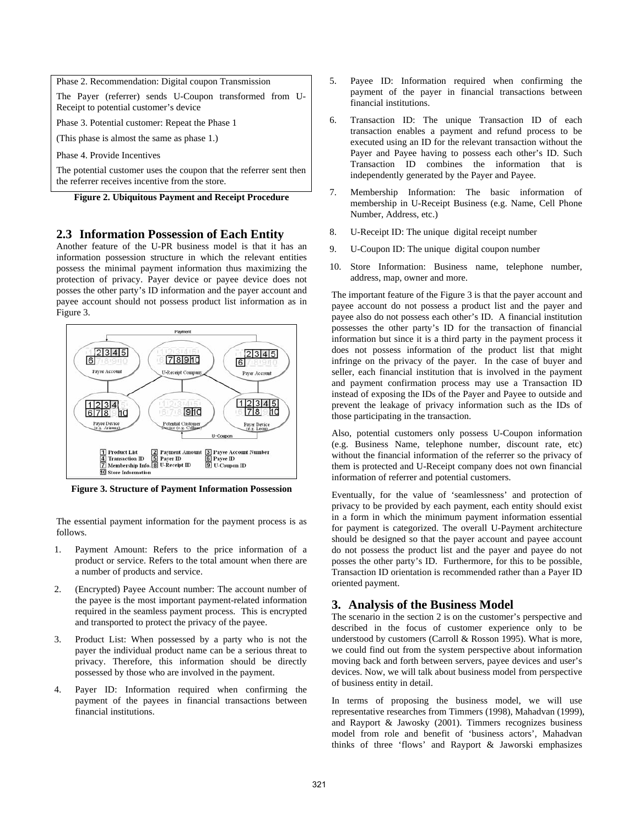| Phase 2. Recommendation: Digital coupon Transmission                                                                  |  |  |  |  |  |  |
|-----------------------------------------------------------------------------------------------------------------------|--|--|--|--|--|--|
| The Payer (referrer) sends U-Coupon transformed from U-<br>Receipt to potential customer's device                     |  |  |  |  |  |  |
| Phase 3. Potential customer: Repeat the Phase 1                                                                       |  |  |  |  |  |  |
| (This phase is almost the same as phase 1.)                                                                           |  |  |  |  |  |  |
| Phase 4. Provide Incentives                                                                                           |  |  |  |  |  |  |
| The potential customer uses the coupon that the referrer sent then<br>the referrer receives incentive from the store. |  |  |  |  |  |  |
| $\bullet$ . The contract of $\bullet$<br>$\blacksquare$<br>$\sim$<br>$\sim$ $\sim$                                    |  |  |  |  |  |  |

**Figure 2. Ubiquitous Payment and Receipt Procedure**

## **2.3 Information Possession of Each Entity**

Another feature of the U-PR business model is that it has an information possession structure in which the relevant entities possess the minimal payment information thus maximizing the protection of privacy. Payer device or payee device does not posses the other party's ID information and the payer account and payee account should not possess product list information as in Figure 3.



**Figure 3. Structure of Payment Information Possession**

The essential payment information for the payment process is as follows.

- 1. Payment Amount: Refers to the price information of a product or service. Refers to the total amount when there are a number of products and service.
- 2. (Encrypted) Payee Account number: The account number of the payee is the most important payment-related information required in the seamless payment process. This is encrypted and transported to protect the privacy of the payee.
- 3. Product List: When possessed by a party who is not the payer the individual product name can be a serious threat to privacy. Therefore, this information should be directly possessed by those who are involved in the payment.
- 4. Payer ID: Information required when confirming the payment of the payees in financial transactions between financial institutions.
- 5. Payee ID: Information required when confirming the payment of the payer in financial transactions between financial institutions.
- 6. Transaction ID: The unique Transaction ID of each transaction enables a payment and refund process to be executed using an ID for the relevant transaction without the Payer and Payee having to possess each other's ID. Such Transaction ID combines the information that is independently generated by the Payer and Payee.
- 7. Membership Information: The basic information of membership in U-Receipt Business (e.g. Name, Cell Phone Number, Address, etc.)
- 8. U-Receipt ID: The unique digital receipt number
- 9. U-Coupon ID: The unique digital coupon number
- 10. Store Information: Business name, telephone number, address, map, owner and more.

The important feature of the Figure 3 is that the payer account and payee account do not possess a product list and the payer and payee also do not possess each other's ID. A financial institution possesses the other party's ID for the transaction of financial information but since it is a third party in the payment process it does not possess information of the product list that might infringe on the privacy of the payer. In the case of buyer and seller, each financial institution that is involved in the payment and payment confirmation process may use a Transaction ID instead of exposing the IDs of the Payer and Payee to outside and prevent the leakage of privacy information such as the IDs of those participating in the transaction.

Also, potential customers only possess U-Coupon information (e.g. Business Name, telephone number, discount rate, etc) without the financial information of the referrer so the privacy of them is protected and U-Receipt company does not own financial information of referrer and potential customers.

Eventually, for the value of 'seamlessness' and protection of privacy to be provided by each payment, each entity should exist in a form in which the minimum payment information essential for payment is categorized. The overall U-Payment architecture should be designed so that the payer account and payee account do not possess the product list and the payer and payee do not posses the other party's ID. Furthermore, for this to be possible, Transaction ID orientation is recommended rather than a Payer ID oriented payment.

# **3. Analysis of the Business Model**

The scenario in the section 2 is on the customer's perspective and described in the focus of customer experience only to be understood by customers (Carroll & Rosson 1995). What is more, we could find out from the system perspective about information moving back and forth between servers, payee devices and user's devices. Now, we will talk about business model from perspective of business entity in detail.

In terms of proposing the business model, we will use representative researches from Timmers (1998), Mahadvan (1999), and Rayport & Jawosky (2001). Timmers recognizes business model from role and benefit of 'business actors', Mahadvan thinks of three 'flows' and Rayport & Jaworski emphasizes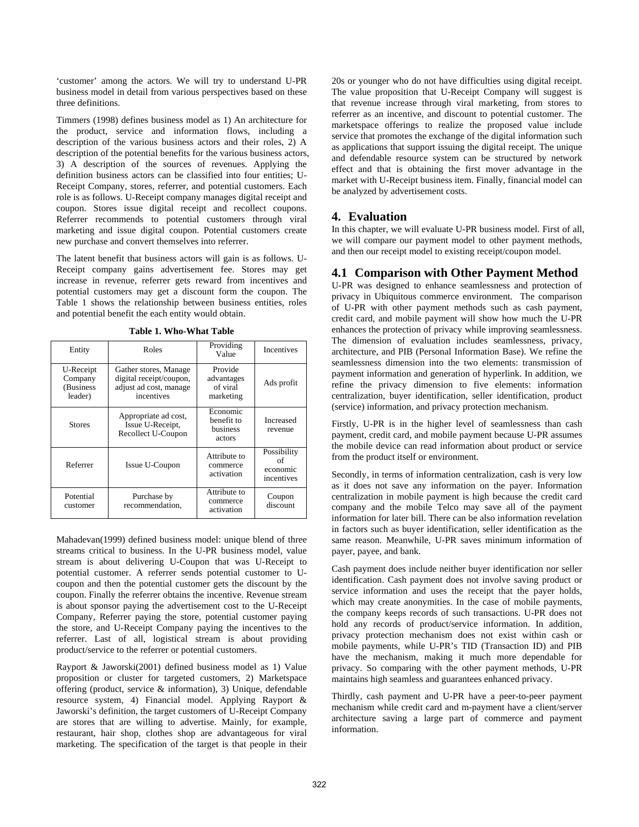'customer' among the actors. We will try to understand U-PR business model in detail from various perspectives based on these three definitions.

Timmers (1998) defines business model as 1) An architecture for the product, service and information flows, including a description of the various business actors and their roles, 2) A description of the potential benefits for the various business actors, 3) A description of the sources of revenues. Applying the definition business actors can be classified into four entities; U-Receipt Company, stores, referrer, and potential customers. Each role is as follows. U-Receipt company manages digital receipt and coupon. Stores issue digital receipt and recollect coupons. Referrer recommends to potential customers through viral marketing and issue digital coupon. Potential customers create new purchase and convert themselves into referrer.

The latent benefit that business actors will gain is as follows. U-Receipt company gains advertisement fee. Stores may get increase in revenue, referrer gets reward from incentives and potential customers may get a discount form the coupon. The Table 1 shows the relationship between business entities, roles and potential benefit the each entity would obtain.

| Entity                                        | Roles                                                                                    | Providing<br>Value                             | <b>Incentives</b>                           |
|-----------------------------------------------|------------------------------------------------------------------------------------------|------------------------------------------------|---------------------------------------------|
| U-Receipt<br>Company<br>(Business)<br>leader) | Gather stores, Manage<br>digital receipt/coupon,<br>adjust ad cost, manage<br>incentives | Provide<br>advantages<br>of viral<br>marketing | Ads profit                                  |
| <b>Stores</b>                                 | Appropriate ad cost,<br>Issue U-Receipt,<br>Recollect U-Coupon                           | Economic<br>benefit to<br>business<br>actors   | Increased<br>revenue                        |
| Referrer                                      | Issue U-Coupon                                                                           | Attribute to<br>commerce<br>activation         | Possibility<br>oť<br>economic<br>incentives |
| Potential<br>customer                         | Purchase by<br>recommendation.                                                           | Attribute to<br>commerce<br>activation         | Coupon<br>discount                          |

**Table 1. Who-What Table**

Mahadevan(1999) defined business model: unique blend of three streams critical to business. In the U-PR business model, value stream is about delivering U-Coupon that was U-Receipt to potential customer. A referrer sends potential customer to Ucoupon and then the potential customer gets the discount by the coupon. Finally the referrer obtains the incentive. Revenue stream is about sponsor paying the advertisement cost to the U-Receipt Company, Referrer paying the store, potential customer paying the store, and U-Receipt Company paying the incentives to the referrer. Last of all, logistical stream is about providing product/service to the referrer or potential customers.

Rayport & Jaworski(2001) defined business model as 1) Value proposition or cluster for targeted customers, 2) Marketspace offering (product, service & information), 3) Unique, defendable resource system, 4) Financial model. Applying Rayport & Jaworski's definition, the target customers of U-Receipt Company are stores that are willing to advertise. Mainly, for example, restaurant, hair shop, clothes shop are advantageous for viral marketing. The specification of the target is that people in their

20s or younger who do not have difficulties using digital receipt. The value proposition that U-Receipt Company will suggest is that revenue increase through viral marketing, from stores to referrer as an incentive, and discount to potential customer. The marketspace offerings to realize the proposed value include service that promotes the exchange of the digital information such as applications that support issuing the digital receipt. The unique and defendable resource system can be structured by network effect and that is obtaining the first mover advantage in the market with U-Receipt business item. Finally, financial model can be analyzed by advertisement costs.

# **4. Evaluation**

In this chapter, we will evaluate U-PR business model. First of all, we will compare our payment model to other payment methods, and then our receipt model to existing receipt/coupon model.

## **4.1 Comparison with Other Payment Method**

U-PR was designed to enhance seamlessness and protection of privacy in Ubiquitous commerce environment. The comparison of U-PR with other payment methods such as cash payment, credit card, and mobile payment will show how much the U-PR enhances the protection of privacy while improving seamlessness. The dimension of evaluation includes seamlessness, privacy, architecture, and PIB (Personal Information Base). We refine the seamlessness dimension into the two elements: transmission of payment information and generation of hyperlink. In addition, we refine the privacy dimension to five elements: information centralization, buyer identification, seller identification, product (service) information, and privacy protection mechanism.

Firstly, U-PR is in the higher level of seamlessness than cash payment, credit card, and mobile payment because U-PR assumes the mobile device can read information about product or service from the product itself or environment.

Secondly, in terms of information centralization, cash is very low as it does not save any information on the payer. Information centralization in mobile payment is high because the credit card company and the mobile Telco may save all of the payment information for later bill. There can be also information revelation in factors such as buyer identification, seller identification as the same reason. Meanwhile, U-PR saves minimum information of payer, payee, and bank.

Cash payment does include neither buyer identification nor seller identification. Cash payment does not involve saving product or service information and uses the receipt that the payer holds, which may create anonymities. In the case of mobile payments, the company keeps records of such transactions. U-PR does not hold any records of product/service information. In addition, privacy protection mechanism does not exist within cash or mobile payments, while U-PR's TID (Transaction ID) and PIB have the mechanism, making it much more dependable for privacy. So comparing with the other payment methods, U-PR maintains high seamless and guarantees enhanced privacy.

Thirdly, cash payment and U-PR have a peer-to-peer payment mechanism while credit card and m-payment have a client/server architecture saving a large part of commerce and payment information.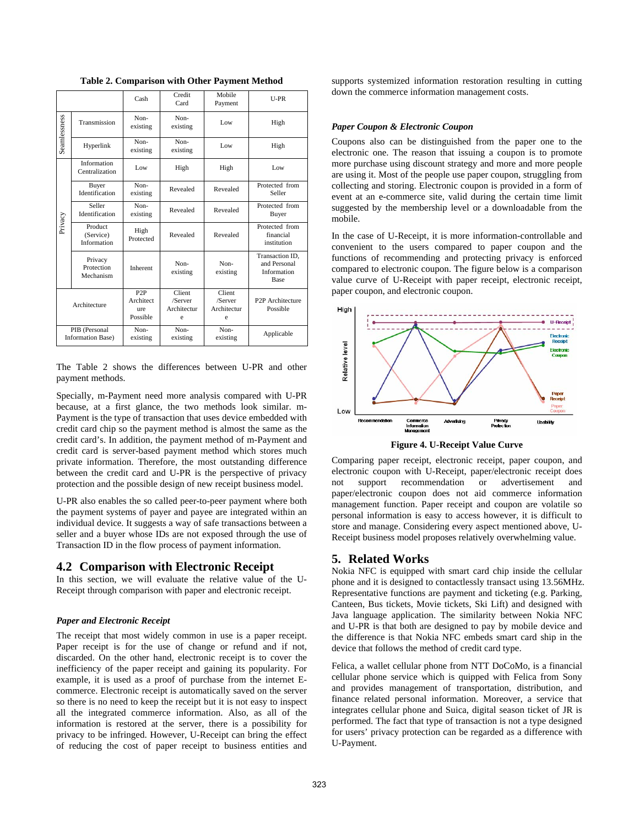|              |                                           | Cash                                             | Credit<br>Card                        | Mobile<br>Payment                     | U-PR                                                          |
|--------------|-------------------------------------------|--------------------------------------------------|---------------------------------------|---------------------------------------|---------------------------------------------------------------|
| Seamlessness | Transmission                              | Non-<br>existing                                 | Non-<br>existing                      | Low                                   | High                                                          |
|              | Hyperlink                                 | Non-<br>existing                                 | Non-<br>existing                      | Low                                   | High                                                          |
| Privacy      | Information<br>Centralization             | $I_0w$                                           | High                                  | High                                  | Low                                                           |
|              | Buyer<br>Identification                   | Non-<br>existing                                 | Revealed                              | Revealed                              | Protected from<br>Seller                                      |
|              | Seller<br>Identification                  | Non-<br>existing                                 | Revealed                              | Revealed                              | Protected from<br>Buyer                                       |
|              | Product<br>(Service)<br>Information       | High<br>Protected                                | Revealed                              | Revealed                              | Protected from<br>financial<br>institution                    |
|              | Privacy<br>Protection<br>Mechanism        | Inherent                                         | Non-<br>existing                      | Non-<br>existing                      | Transaction ID,<br>and Personal<br>Information<br><b>Base</b> |
|              | Architecture                              | P <sub>2</sub> P<br>Architect<br>ure<br>Possible | Client<br>/Server<br>Architectur<br>e | Client<br>/Server<br>Architectur<br>e | P <sub>2</sub> P Architecture<br>Possible                     |
|              | PIB (Personal<br><b>Information Base)</b> | Non-<br>existing                                 | Non-<br>existing                      | Non-<br>existing                      | Applicable                                                    |

The Table 2 shows the differences between U-PR and other payment methods.

Specially, m-Payment need more analysis compared with U-PR because, at a first glance, the two methods look similar. m-Payment is the type of transaction that uses device embedded with credit card chip so the payment method is almost the same as the credit card's. In addition, the payment method of m-Payment and credit card is server-based payment method which stores much private information. Therefore, the most outstanding difference between the credit card and U-PR is the perspective of privacy protection and the possible design of new receipt business model.

U-PR also enables the so called peer-to-peer payment where both the payment systems of payer and payee are integrated within an individual device. It suggests a way of safe transactions between a seller and a buyer whose IDs are not exposed through the use of Transaction ID in the flow process of payment information.

#### **4.2 Comparison with Electronic Receipt**

In this section, we will evaluate the relative value of the U-Receipt through comparison with paper and electronic receipt.

#### *Paper and Electronic Receipt*

The receipt that most widely common in use is a paper receipt. Paper receipt is for the use of change or refund and if not, discarded. On the other hand, electronic receipt is to cover the inefficiency of the paper receipt and gaining its popularity. For example, it is used as a proof of purchase from the internet Ecommerce. Electronic receipt is automatically saved on the server so there is no need to keep the receipt but it is not easy to inspect all the integrated commerce information. Also, as all of the information is restored at the server, there is a possibility for privacy to be infringed. However, U-Receipt can bring the effect of reducing the cost of paper receipt to business entities and

supports systemized information restoration resulting in cutting down the commerce information management costs.

#### *Paper Coupon & Electronic Coupon*

Coupons also can be distinguished from the paper one to the electronic one. The reason that issuing a coupon is to promote more purchase using discount strategy and more and more people are using it. Most of the people use paper coupon, struggling from collecting and storing. Electronic coupon is provided in a form of event at an e-commerce site, valid during the certain time limit suggested by the membership level or a downloadable from the mobile.

In the case of U-Receipt, it is more information-controllable and convenient to the users compared to paper coupon and the functions of recommending and protecting privacy is enforced compared to electronic coupon. The figure below is a comparison value curve of U-Receipt with paper receipt, electronic receipt, paper coupon, and electronic coupon.



**Figure 4. U-Receipt Value Curve**

Comparing paper receipt, electronic receipt, paper coupon, and electronic coupon with U-Receipt, paper/electronic receipt does not support recommendation or advertisement and paper/electronic coupon does not aid commerce information management function. Paper receipt and coupon are volatile so personal information is easy to access however, it is difficult to store and manage. Considering every aspect mentioned above, U-Receipt business model proposes relatively overwhelming value.

### **5. Related Works**

Nokia NFC is equipped with smart card chip inside the cellular phone and it is designed to contactlessly transact using 13.56MHz. Representative functions are payment and ticketing (e.g. Parking, Canteen, Bus tickets, Movie tickets, Ski Lift) and designed with Java language application. The similarity between Nokia NFC and U-PR is that both are designed to pay by mobile device and the difference is that Nokia NFC embeds smart card ship in the device that follows the method of credit card type.

Felica, a wallet cellular phone from NTT DoCoMo, is a financial cellular phone service which is quipped with Felica from Sony and provides management of transportation, distribution, and finance related personal information. Moreover, a service that integrates cellular phone and Suica, digital season ticket of JR is performed. The fact that type of transaction is not a type designed for users' privacy protection can be regarded as a difference with U-Payment.